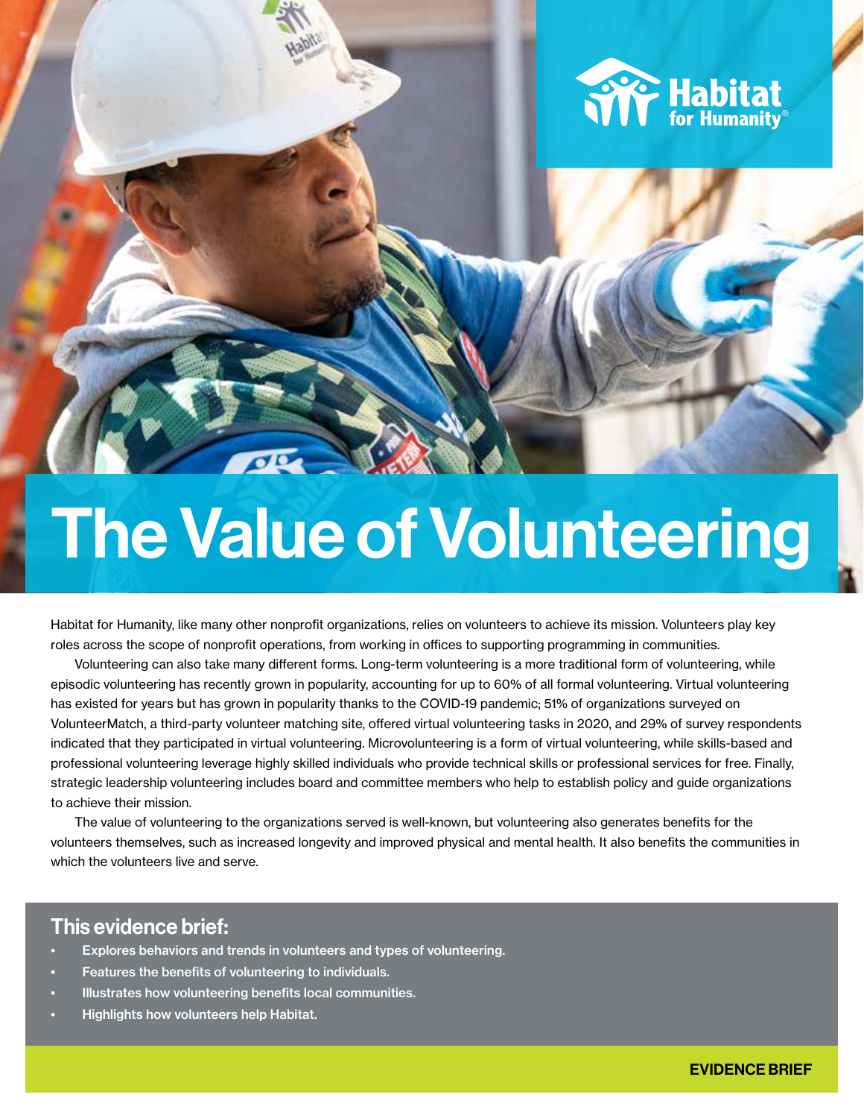

# The Value of Volunteering

Habitat for Humanity, like many other nonprofit organizations, relies on volunteers to achieve its mission. Volunteers play key roles across the scope of nonprofit operations, from working in offices to supporting programming in communities.

Volunteering can also take many different forms. Long-term volunteering is a more traditional form of volunteering, while episodic volunteering has recently grown in popularity, accounting for up to 60% of all formal volunteering. Virtual volunteering has existed for years but has grown in popularity thanks to the COVID-19 pandemic; 51% of organizations surveyed on VolunteerMatch, a third-party volunteer matching site, offered virtual volunteering tasks in 2020, and 29% of survey respondents indicated that they participated in virtual volunteering. Microvolunteering is a form of virtual volunteering, while skills-based and professional volunteering leverage highly skilled individuals who provide technical skills or professional services for free. Finally, strategic leadership volunteering includes board and committee members who help to establish policy and guide organizations to achieve their mission.

The value of volunteering to the organizations served is well-known, but volunteering also generates benefits for the volunteers themselves, such as increased longevity and improved physical and mental health. It also benefits the communities in which the volunteers live and serve.

#### This evidence brief:

- **Explores behaviors and trends in volunteers and types of volunteering.**
- Features the benefits of volunteering to individuals.
- Illustrates how volunteering benefits local communities.
- Highlights how volunteers help Habitat.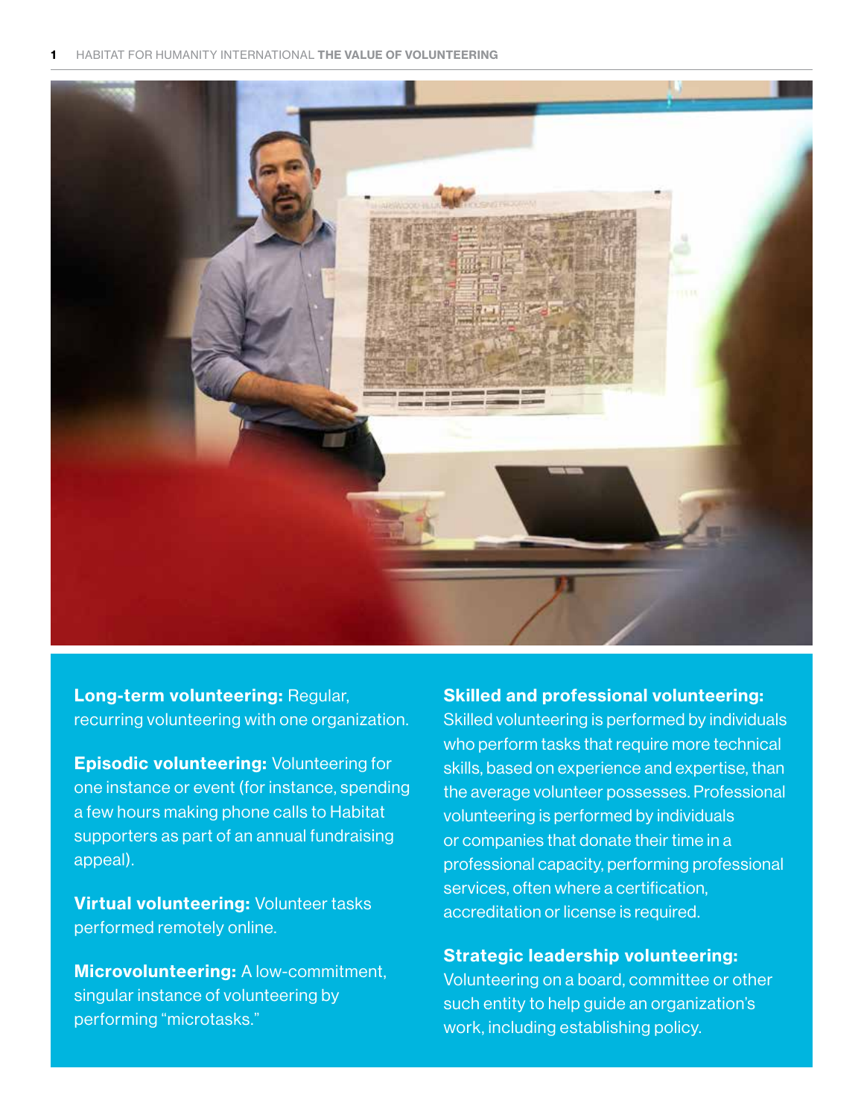

Long-term volunteering: Regular, recurring volunteering with one organization.

Episodic volunteering: Volunteering for one instance or event (for instance, spending a few hours making phone calls to Habitat supporters as part of an annual fundraising appeal).

**Virtual volunteering: Volunteer tasks** performed remotely online.

**Microvolunteering: A low-commitment,** singular instance of volunteering by performing "microtasks."

#### Skilled and professional volunteering:

Skilled volunteering is performed by individuals who perform tasks that require more technical skills, based on experience and expertise, than the average volunteer possesses. Professional volunteering is performed by individuals or companies that donate their time in a professional capacity, performing professional services, often where a certification, accreditation or license is required.

### Strategic leadership volunteering: Volunteering on a board, committee or other such entity to help guide an organization's work, including establishing policy.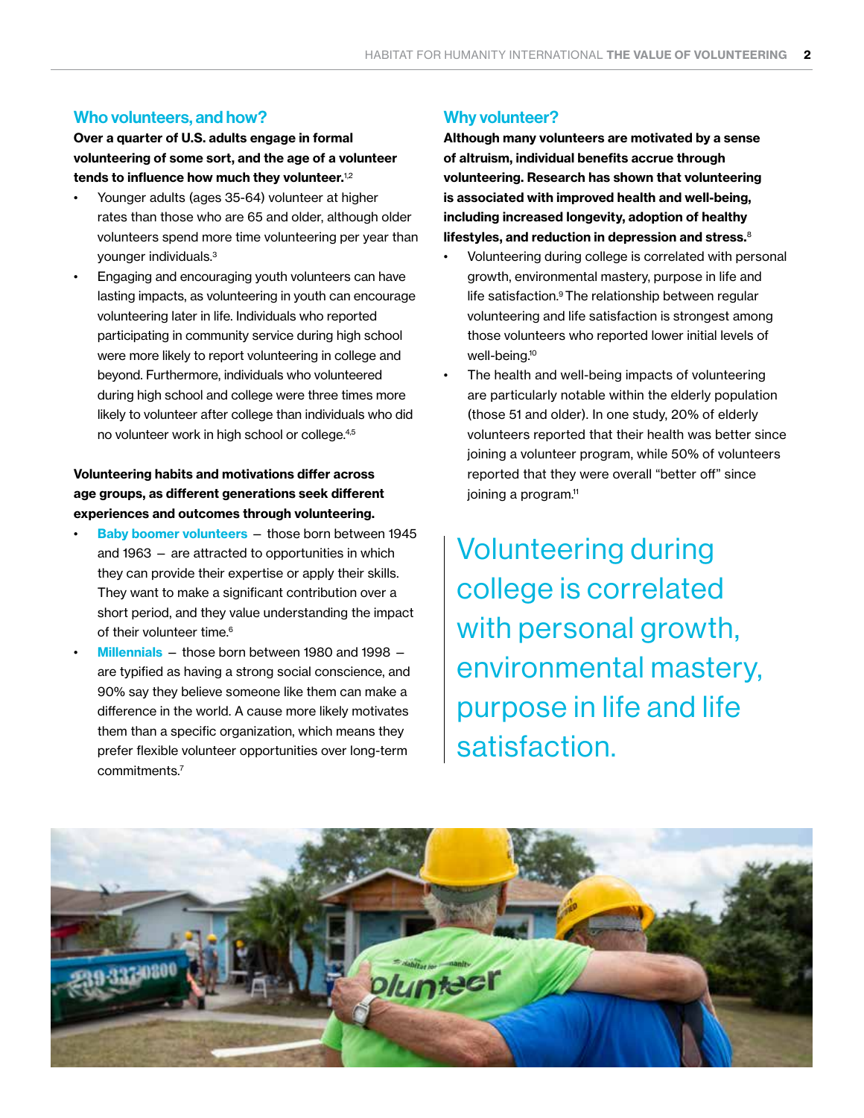#### Who volunteers, and how?

Over a quarter of U.S. adults engage in formal volunteering of some sort, and the age of a volunteer tends to influence how much they volunteer.<sup>1,2</sup>

- Younger adults (ages 35-64) volunteer at higher rates than those who are 65 and older, although older volunteers spend more time volunteering per year than younger individuals.3
- Engaging and encouraging youth volunteers can have lasting impacts, as volunteering in youth can encourage volunteering later in life. Individuals who reported participating in community service during high school were more likely to report volunteering in college and beyond. Furthermore, individuals who volunteered during high school and college were three times more likely to volunteer after college than individuals who did no volunteer work in high school or college.4,5

#### Volunteering habits and motivations differ across age groups, as different generations seek different experiences and outcomes through volunteering.

- Baby boomer volunteers those born between 1945 and 1963 — are attracted to opportunities in which they can provide their expertise or apply their skills. They want to make a significant contribution over a short period, and they value understanding the impact of their volunteer time.<sup>6</sup>
- Millennials those born between 1980 and 1998 are typified as having a strong social conscience, and 90% say they believe someone like them can make a difference in the world. A cause more likely motivates them than a specific organization, which means they prefer flexible volunteer opportunities over long-term commitments.7

#### Why volunteer?

Although many volunteers are motivated by a sense of altruism, individual benefits accrue through volunteering. Research has shown that volunteering is associated with improved health and well-being, including increased longevity, adoption of healthy lifestyles, and reduction in depression and stress.<sup>8</sup>

- Volunteering during college is correlated with personal growth, environmental mastery, purpose in life and life satisfaction.9 The relationship between regular volunteering and life satisfaction is strongest among those volunteers who reported lower initial levels of well-being.10
- The health and well-being impacts of volunteering are particularly notable within the elderly population (those 51 and older). In one study, 20% of elderly volunteers reported that their health was better since joining a volunteer program, while 50% of volunteers reported that they were overall "better off" since joining a program.<sup>11</sup>

Volunteering during college is correlated with personal growth, environmental mastery, purpose in life and life satisfaction.

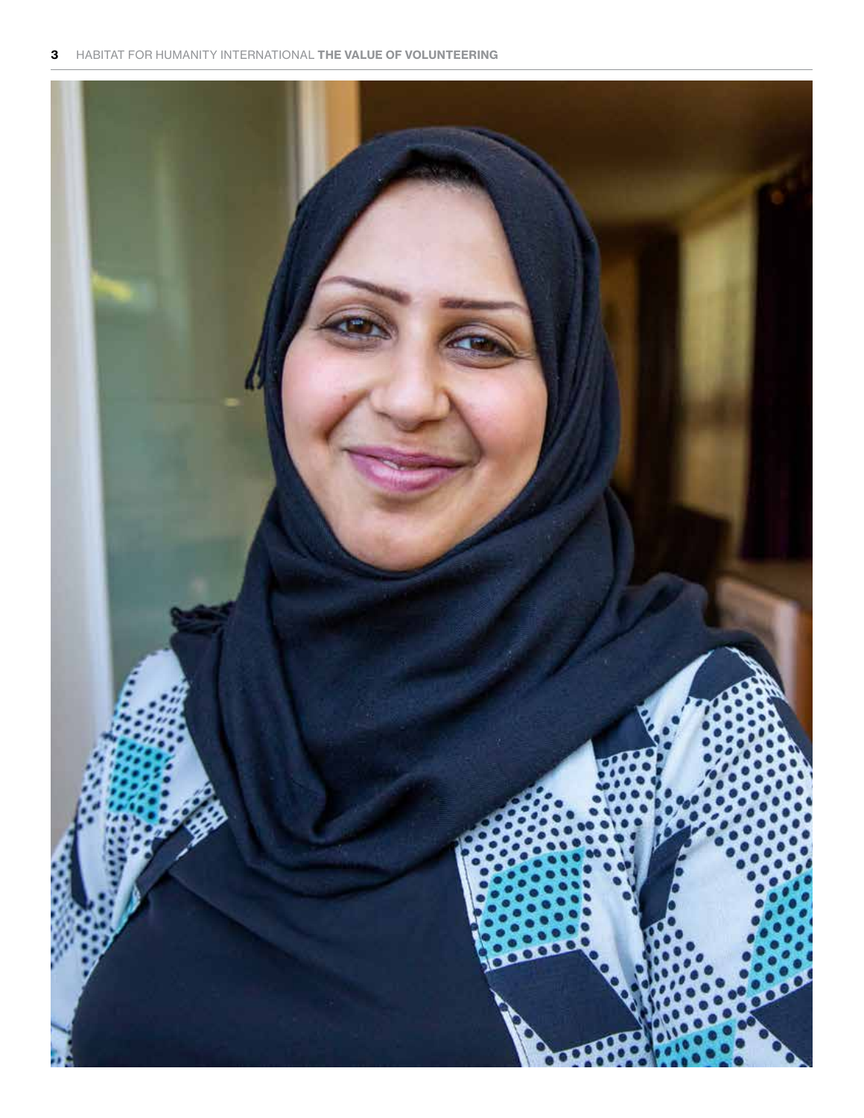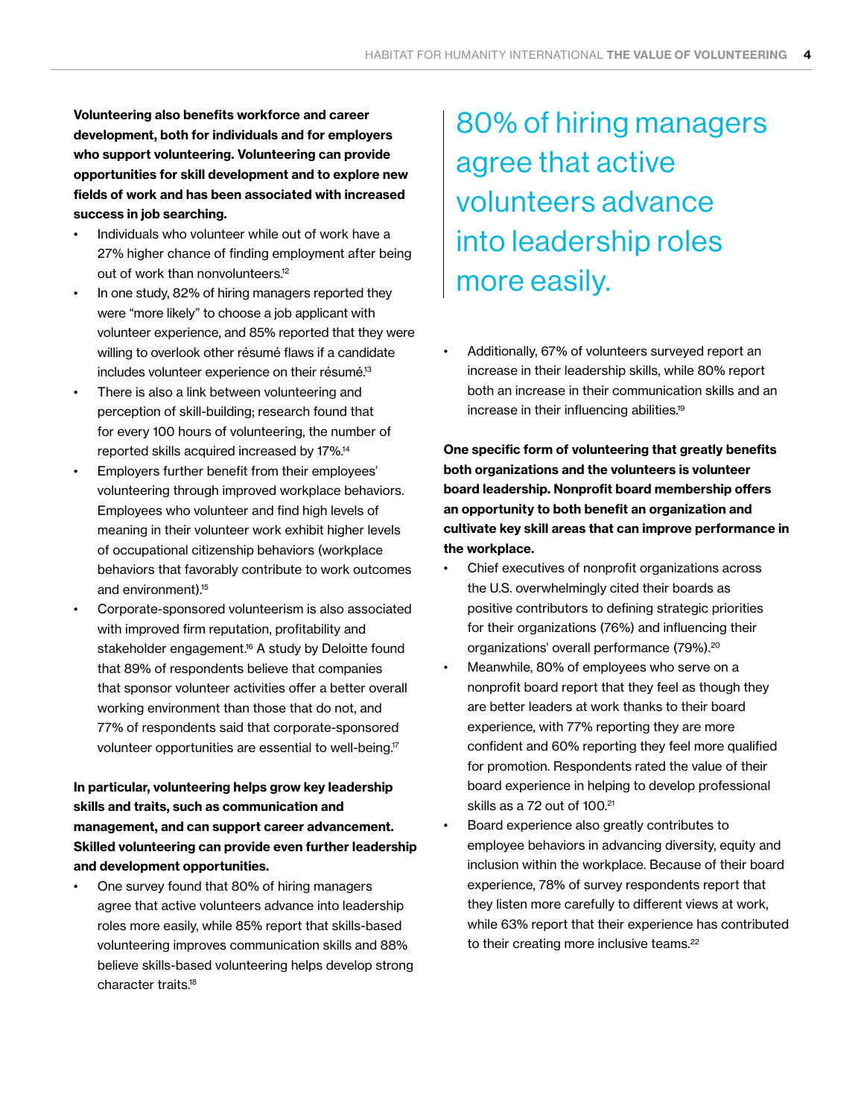Volunteering also benefits workforce and career development, both for individuals and for employers who support volunteering. Volunteering can provide opportunities for skill development and to explore new fields of work and has been associated with increased success in job searching.

- Individuals who volunteer while out of work have a 27% higher chance of finding employment after being out of work than nonvolunteers.<sup>12</sup>
- In one study, 82% of hiring managers reported they were "more likely" to choose a job applicant with volunteer experience, and 85% reported that they were willing to overlook other résumé flaws if a candidate includes volunteer experience on their résumé.<sup>13</sup>
- There is also a link between volunteering and perception of skill-building; research found that for every 100 hours of volunteering, the number of reported skills acquired increased by 17%.14
- Employers further benefit from their employees' volunteering through improved workplace behaviors. Employees who volunteer and find high levels of meaning in their volunteer work exhibit higher levels of occupational citizenship behaviors (workplace behaviors that favorably contribute to work outcomes and environment).15
- Corporate-sponsored volunteerism is also associated with improved firm reputation, profitability and stakeholder engagement.<sup>16</sup> A study by Deloitte found that 89% of respondents believe that companies that sponsor volunteer activities offer a better overall working environment than those that do not, and 77% of respondents said that corporate-sponsored volunteer opportunities are essential to well-being.17

In particular, volunteering helps grow key leadership skills and traits, such as communication and management, and can support career advancement. Skilled volunteering can provide even further leadership and development opportunities.

• One survey found that 80% of hiring managers agree that active volunteers advance into leadership roles more easily, while 85% report that skills-based volunteering improves communication skills and 88% believe skills-based volunteering helps develop strong character traits.<sup>18</sup>

80% of hiring managers agree that active volunteers advance into leadership roles more easily.

• Additionally, 67% of volunteers surveyed report an increase in their leadership skills, while 80% report both an increase in their communication skills and an increase in their influencing abilities.<sup>19</sup>

One specific form of volunteering that greatly benefits both organizations and the volunteers is volunteer board leadership. Nonprofit board membership offers an opportunity to both benefit an organization and cultivate key skill areas that can improve performance in the workplace.

- Chief executives of nonprofit organizations across the U.S. overwhelmingly cited their boards as positive contributors to defining strategic priorities for their organizations (76%) and influencing their organizations' overall performance (79%).20
- Meanwhile, 80% of employees who serve on a nonprofit board report that they feel as though they are better leaders at work thanks to their board experience, with 77% reporting they are more confident and 60% reporting they feel more qualified for promotion. Respondents rated the value of their board experience in helping to develop professional skills as a 72 out of 100.<sup>21</sup>
- Board experience also greatly contributes to employee behaviors in advancing diversity, equity and inclusion within the workplace. Because of their board experience, 78% of survey respondents report that they listen more carefully to different views at work, while 63% report that their experience has contributed to their creating more inclusive teams.<sup>22</sup>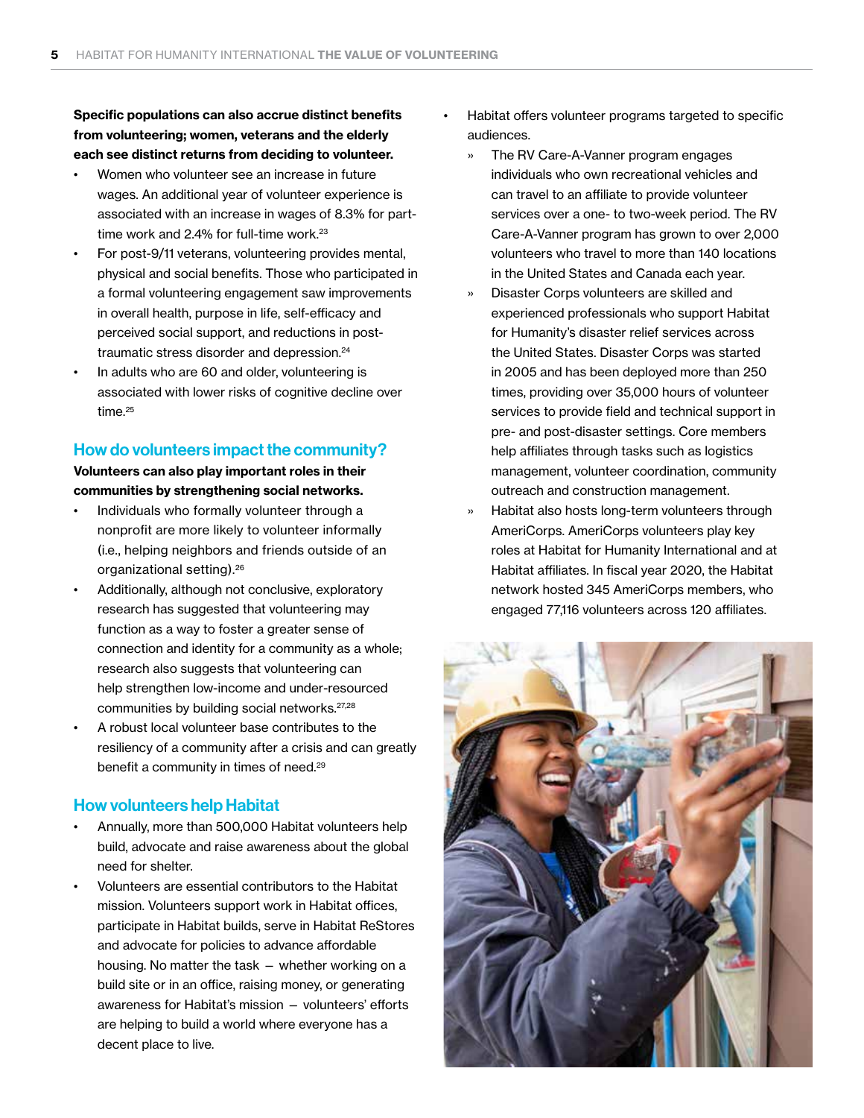Specific populations can also accrue distinct benefits from volunteering; women, veterans and the elderly each see distinct returns from deciding to volunteer.

- Women who volunteer see an increase in future wages. An additional year of volunteer experience is associated with an increase in wages of 8.3% for parttime work and 2.4% for full-time work.<sup>23</sup>
- For post-9/11 veterans, volunteering provides mental, physical and social benefits. Those who participated in a formal volunteering engagement saw improvements in overall health, purpose in life, self-efficacy and perceived social support, and reductions in posttraumatic stress disorder and depression.24
- In adults who are 60 and older, volunteering is associated with lower risks of cognitive decline over time.<sup>25</sup>

#### How do volunteers impact the community?

Volunteers can also play important roles in their communities by strengthening social networks.

- Individuals who formally volunteer through a nonprofit are more likely to volunteer informally (i.e., helping neighbors and friends outside of an organizational setting).26
- Additionally, although not conclusive, exploratory research has suggested that volunteering may function as a way to foster a greater sense of connection and identity for a community as a whole; research also suggests that volunteering can help strengthen low-income and under-resourced communities by building social networks.27,28
- A robust local volunteer base contributes to the resiliency of a community after a crisis and can greatly benefit a community in times of need.<sup>29</sup>

#### How volunteers help Habitat

- Annually, more than 500,000 Habitat volunteers help build, advocate and raise awareness about the global need for shelter.
- Volunteers are essential contributors to the Habitat mission. Volunteers support work in Habitat offices, participate in Habitat builds, serve in Habitat ReStores and advocate for policies to advance affordable housing. No matter the task — whether working on a build site or in an office, raising money, or generating awareness for Habitat's mission — volunteers' efforts are helping to build a world where everyone has a decent place to live.
- Habitat offers volunteer programs targeted to specific audiences.
	- » The RV Care-A-Vanner program engages individuals who own recreational vehicles and can travel to an affiliate to provide volunteer services over a one- to two-week period. The RV Care-A-Vanner program has grown to over 2,000 volunteers who travel to more than 140 locations in the United States and Canada each year.
	- » Disaster Corps volunteers are skilled and experienced professionals who support Habitat for Humanity's disaster relief services across the United States. Disaster Corps was started in 2005 and has been deployed more than 250 times, providing over 35,000 hours of volunteer services to provide field and technical support in pre- and post-disaster settings. Core members help affiliates through tasks such as logistics management, volunteer coordination, community outreach and construction management.
	- » Habitat also hosts long-term volunteers through AmeriCorps. AmeriCorps volunteers play key roles at Habitat for Humanity International and at Habitat affiliates. In fiscal year 2020, the Habitat network hosted 345 AmeriCorps members, who engaged 77,116 volunteers across 120 affiliates.

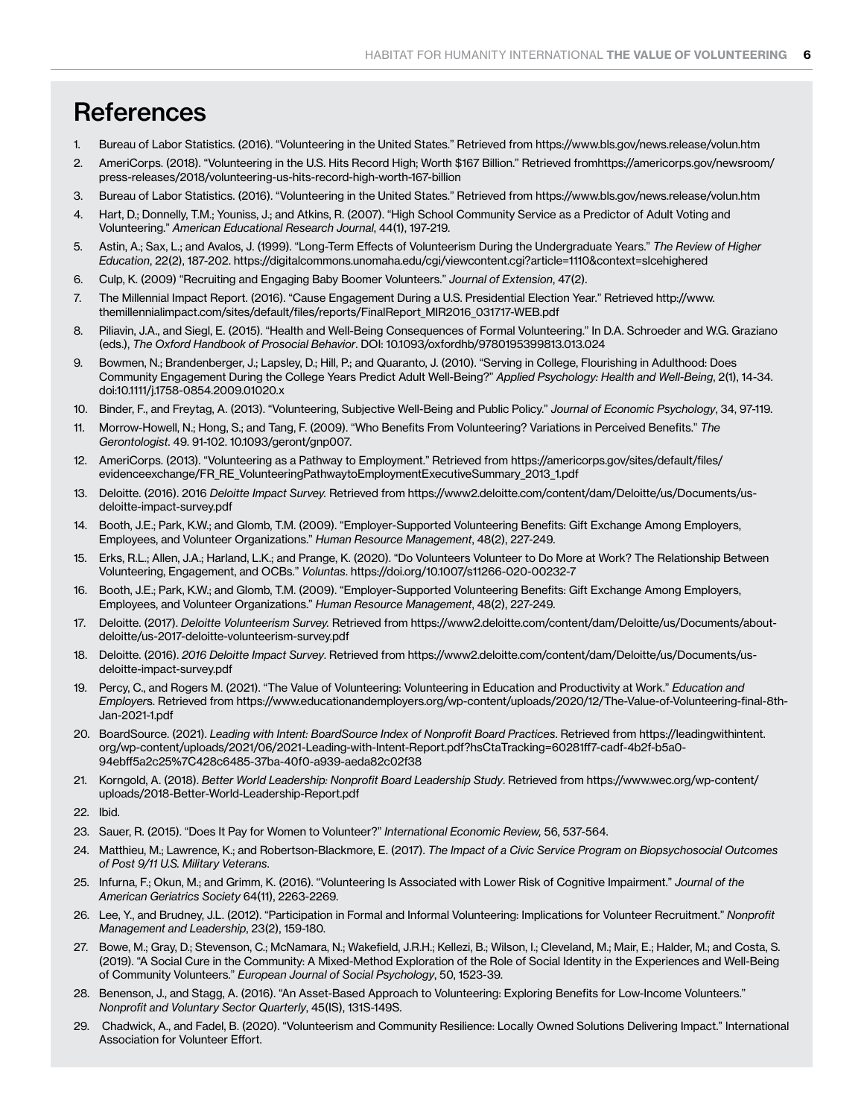## **References**

- 1. Bureau of Labor Statistics. (2016). "Volunteering in the United States." Retrieved from https://www.bls.gov/news.release/volun.htm
- 2. AmeriCorps. (2018). "Volunteering in the U.S. Hits Record High; Worth \$167 Billion." Retrieved fromhttps://americorps.gov/newsroom/ press-releases/2018/volunteering-us-hits-record-high-worth-167-billion
- 3. Bureau of Labor Statistics. (2016). "Volunteering in the United States." Retrieved from https://www.bls.gov/news.release/volun.htm
- 4. Hart, D.; Donnelly, T.M.; Youniss, J.; and Atkins, R. (2007). "High School Community Service as a Predictor of Adult Voting and Volunteering." *American Educational Research Journal*, 44(1), 197-219.
- 5. Astin, A.; Sax, L.; and Avalos, J. (1999). "Long-Term Effects of Volunteerism During the Undergraduate Years." *The Review of Higher Education*, 22(2), 187-202. https://digitalcommons.unomaha.edu/cgi/viewcontent.cgi?article=1110&context=slcehighered
- 6. Culp, K. (2009) "Recruiting and Engaging Baby Boomer Volunteers." *Journal of Extension*, 47(2).
- 7. The Millennial Impact Report. (2016). "Cause Engagement During a U.S. Presidential Election Year." Retrieved http://www. themillennialimpact.com/sites/default/files/reports/FinalReport\_MIR2016\_031717-WEB.pdf
- 8. Piliavin, J.A., and Siegl, E. (2015). "Health and Well-Being Consequences of Formal Volunteering." In D.A. Schroeder and W.G. Graziano (eds.), *The Oxford Handbook of Prosocial Behavior*. DOI: 10.1093/oxfordhb/9780195399813.013.024
- 9. Bowmen, N.; Brandenberger, J.; Lapsley, D.; Hill, P.; and Quaranto, J. (2010). "Serving in College, Flourishing in Adulthood: Does Community Engagement During the College Years Predict Adult Well-Being?" *Applied Psychology: Health and Well-Being*, 2(1), 14-34. doi:10.1111/j.1758-0854.2009.01020.x
- 10. Binder, F., and Freytag, A. (2013). "Volunteering, Subjective Well-Being and Public Policy." *Journal of Economic Psychology*, 34, 97-119.
- 11. Morrow-Howell, N.; Hong, S.; and Tang, F. (2009). "Who Benefits From Volunteering? Variations in Perceived Benefits." *The Gerontologist*. 49. 91-102. 10.1093/geront/gnp007.
- 12. AmeriCorps. (2013). "Volunteering as a Pathway to Employment." Retrieved from https://americorps.gov/sites/default/files/ evidenceexchange/FR\_RE\_VolunteeringPathwaytoEmploymentExecutiveSummary\_2013\_1.pdf
- 13. Deloitte. (2016). 2016 *Deloitte Impact Survey.* Retrieved from https://www2.deloitte.com/content/dam/Deloitte/us/Documents/usdeloitte-impact-survey.pdf
- 14. Booth, J.E.; Park, K.W.; and Glomb, T.M. (2009). "Employer-Supported Volunteering Benefits: Gift Exchange Among Employers, Employees, and Volunteer Organizations." *Human Resource Management*, 48(2), 227-249.
- 15. Erks, R.L.; Allen, J.A.; Harland, L.K.; and Prange, K. (2020). "Do Volunteers Volunteer to Do More at Work? The Relationship Between Volunteering, Engagement, and OCBs." *Voluntas*. https://doi.org/10.1007/s11266-020-00232-7
- 16. Booth, J.E.; Park, K.W.; and Glomb, T.M. (2009). "Employer-Supported Volunteering Benefits: Gift Exchange Among Employers, Employees, and Volunteer Organizations." *Human Resource Management*, 48(2), 227-249.
- 17. Deloitte. (2017). *Deloitte Volunteerism Survey.* Retrieved from https://www2.deloitte.com/content/dam/Deloitte/us/Documents/aboutdeloitte/us-2017-deloitte-volunteerism-survey.pdf
- 18. Deloitte. (2016). *2016 Deloitte Impact Survey*. Retrieved from https://www2.deloitte.com/content/dam/Deloitte/us/Documents/usdeloitte-impact-survey.pdf
- 19. Percy, C., and Rogers M. (2021). "The Value of Volunteering: Volunteering in Education and Productivity at Work." *Education and Employer*s. Retrieved from https://www.educationandemployers.org/wp-content/uploads/2020/12/The-Value-of-Volunteering-final-8th-Jan-2021-1.pdf
- 20. BoardSource. (2021). *Leading with Intent: BoardSource Index of Nonprofit Board Practices*. Retrieved from https://leadingwithintent. org/wp-content/uploads/2021/06/2021-Leading-with-Intent-Report.pdf?hsCtaTracking=60281ff7-cadf-4b2f-b5a0- 94ebff5a2c25%7C428c6485-37ba-40f0-a939-aeda82c02f38
- 21. Korngold, A. (2018). *Better World Leadership: Nonprofit Board Leadership Study*. Retrieved from https://www.wec.org/wp-content/ uploads/2018-Better-World-Leadership-Report.pdf
- 22. Ibid.
- 23. Sauer, R. (2015). "Does It Pay for Women to Volunteer?" *International Economic Review,* 56, 537-564.
- 24. Matthieu, M.; Lawrence, K.; and Robertson-Blackmore, E. (2017). *The Impact of a Civic Service Program on Biopsychosocial Outcomes of Post 9/11 U.S. Military Veterans*.
- 25. Infurna, F.; Okun, M.; and Grimm, K. (2016). "Volunteering Is Associated with Lower Risk of Cognitive Impairment." *Journal of the American Geriatrics Society* 64(11), 2263-2269.
- 26. Lee, Y., and Brudney, J.L. (2012). "Participation in Formal and Informal Volunteering: Implications for Volunteer Recruitment." *Nonprofit Management and Leadership*, 23(2), 159-180.
- 27. Bowe, M.; Gray, D.; Stevenson, C.; McNamara, N.; Wakefield, J.R.H.; Kellezi, B.; Wilson, I.; Cleveland, M.; Mair, E.; Halder, M.; and Costa, S. (2019). "A Social Cure in the Community: A Mixed-Method Exploration of the Role of Social Identity in the Experiences and Well-Being of Community Volunteers." *European Journal of Social Psychology*, 50, 1523-39.
- 28. Benenson, J., and Stagg, A. (2016). "An Asset-Based Approach to Volunteering: Exploring Benefits for Low-Income Volunteers." *Nonprofit and Voluntary Sector Quarterly*, 45(IS), 131S-149S.
- 29. Chadwick, A., and Fadel, B. (2020). "Volunteerism and Community Resilience: Locally Owned Solutions Delivering Impact." International Association for Volunteer Effort.